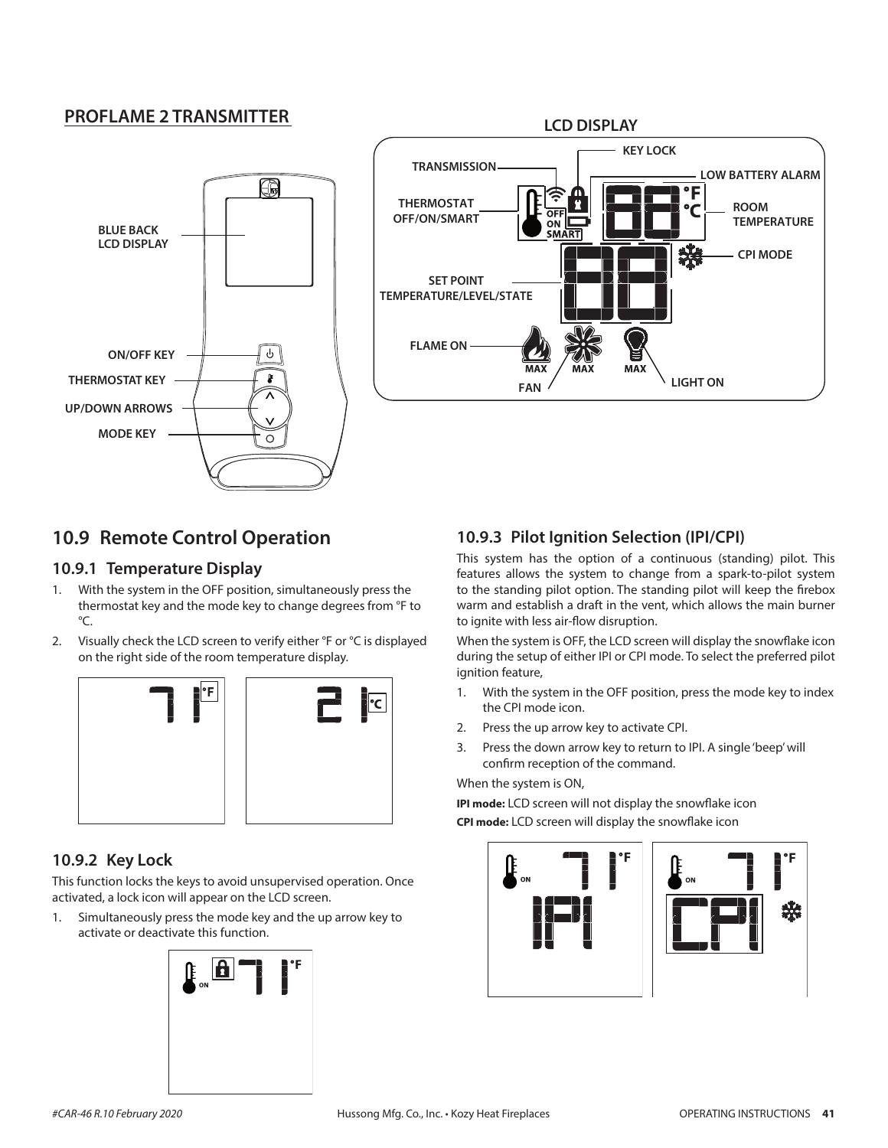### **PROFLAME 2 TRANSMITTER**





# **10.9 Remote Control Operation**

#### **10.9.1 Temperature Display**

- 1. With the system in the OFF position, simultaneously press the thermostat key and the mode key to change degrees from °F to °C.
- 2. Visually check the LCD screen to verify either °F or °C is displayed on the right side of the room temperature display.





## **10.9.2 Key Lock**

This function locks the keys to avoid unsupervised operation. Once activated, a lock icon will appear on the LCD screen.

1. Simultaneously press the mode key and the up arrow key to activate or deactivate this function.



# **10.9.3 Pilot Ignition Selection (IPI/CPI)**

This system has the option of a continuous (standing) pilot. This features allows the system to change from a spark-to-pilot system to the standing pilot option. The standing pilot will keep the firebox warm and establish a draft in the vent, which allows the main burner to ignite with less air-flow disruption.

When the system is OFF, the LCD screen will display the snowflake icon during the setup of either IPI or CPI mode. To select the preferred pilot ignition feature,

- 1. With the system in the OFF position, press the mode key to index the CPI mode icon.
- 2. Press the up arrow key to activate CPI.
- 3. Press the down arrow key to return to IPI. A single 'beep' will confirm reception of the command.

#### When the system is ON,

**IPI mode:** LCD screen will not display the snowflake icon **CPI mode:** LCD screen will display the snowflake icon



器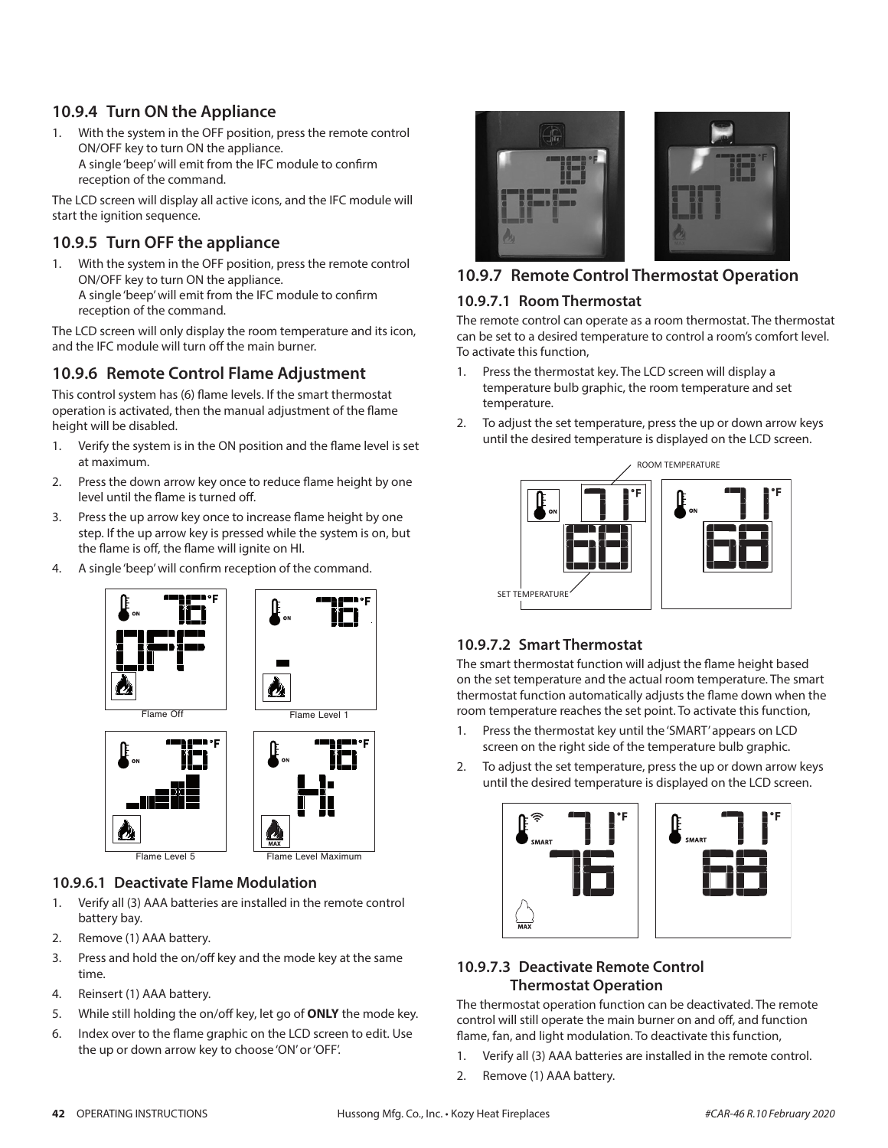## **10.9.4 Turn ON the Appliance**

1. With the system in the OFF position, press the remote control ON/OFF key to turn ON the appliance. A single 'beep' will emit from the IFC module to confirm reception of the command.

The LCD screen will display all active icons, and the IFC module will start the ignition sequence.

### **10.9.5 Turn OFF the appliance**

1. With the system in the OFF position, press the remote control ON/OFF key to turn ON the appliance. A single 'beep' will emit from the IFC module to confirm reception of the command.

The LCD screen will only display the room temperature and its icon, and the IFC module will turn off the main burner.

## **10.9.6 Remote Control Flame Adjustment**

This control system has (6) flame levels. If the smart thermostat operation is activated, then the manual adjustment of the flame height will be disabled.

- 1. Verify the system is in the ON position and the flame level is set at maximum.
- 2. Press the down arrow key once to reduce flame height by one level until the flame is turned off.
- 3. Press the up arrow key once to increase flame height by one step. If the up arrow key is pressed while the system is on, but the flame is off, the flame will ignite on HI.
- 4. A single 'beep' will confirm reception of the command.





Flame Level 5 Flame Level Maximum

#### **10.9.6.1 Deactivate Flame Modulation**

- 1. Verify all (3) AAA batteries are installed in the remote control battery bay.
- 2. Remove (1) AAA battery.
- 3. Press and hold the on/off key and the mode key at the same time.
- 4. Reinsert (1) AAA battery.
- 5. While still holding the on/off key, let go of **ONLY** the mode key.
- 6. Index over to the flame graphic on the LCD screen to edit. Use the up or down arrow key to choose 'ON' or 'OFF'.



## **10.9.7 Remote Control Thermostat Operation**

#### **10.9.7.1 Room Thermostat**

The remote control can operate as a room thermostat. The thermostat can be set to a desired temperature to control a room's comfort level. To activate this function,

- 1. Press the thermostat key. The LCD screen will display a temperature bulb graphic, the room temperature and set temperature.
- 2. To adjust the set temperature, press the up or down arrow keys until the desired temperature is displayed on the LCD screen.



#### **10.9.7.2 Smart Thermostat**

The smart thermostat function will adjust the flame height based on the set temperature and the actual room temperature. The smart thermostat function automatically adjusts the flame down when the room temperature reaches the set point. To activate this function,

- 1. Press the thermostat key until the 'SMART' appears on LCD screen on the right side of the temperature bulb graphic.
- 2. To adjust the set temperature, press the up or down arrow keys until the desired temperature is displayed on the LCD screen.



### **10.9.7.3 Deactivate Remote Control Thermostat Operation**

The thermostat operation function can be deactivated. The remote control will still operate the main burner on and off, and function flame, fan, and light modulation. To deactivate this function,

- 1. Verify all (3) AAA batteries are installed in the remote control.
- 2. Remove (1) AAA battery.